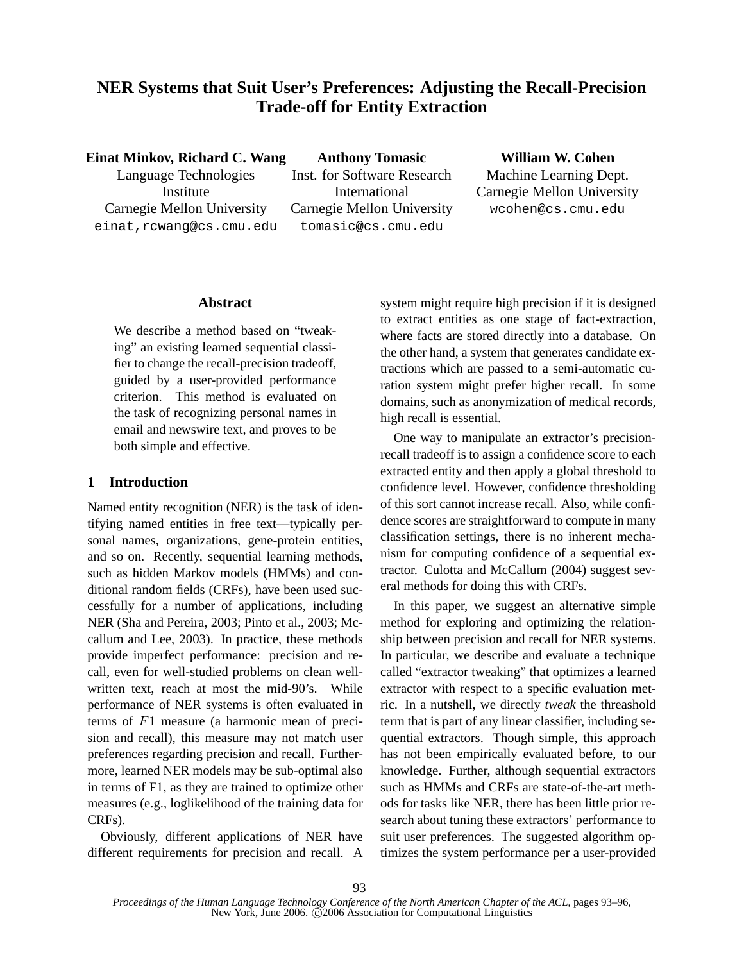# **NER Systems that Suit User's Preferences: Adjusting the Recall-Precision Trade-off for Entity Extraction**

**Einat Minkov, Richard C. Wang**

Language Technologies Institute Carnegie Mellon University einat,rcwang@cs.cmu.edu

**Anthony Tomasic** Inst. for Software Research International Carnegie Mellon University tomasic@cs.cmu.edu

**William W. Cohen** Machine Learning Dept. Carnegie Mellon University wcohen@cs.cmu.edu

## **Abstract**

We describe a method based on "tweaking" an existing learned sequential classifier to change the recall-precision tradeoff, guided by a user-provided performance criterion. This method is evaluated on the task of recognizing personal names in email and newswire text, and proves to be both simple and effective.

## **1 Introduction**

Named entity recognition (NER) is the task of identifying named entities in free text—typically personal names, organizations, gene-protein entities, and so on. Recently, sequential learning methods, such as hidden Markov models (HMMs) and conditional random fields (CRFs), have been used successfully for a number of applications, including NER (Sha and Pereira, 2003; Pinto et al., 2003; Mccallum and Lee, 2003). In practice, these methods provide imperfect performance: precision and recall, even for well-studied problems on clean wellwritten text, reach at most the mid-90's. While performance of NER systems is often evaluated in terms of F1 measure (a harmonic mean of precision and recall), this measure may not match user preferences regarding precision and recall. Furthermore, learned NER models may be sub-optimal also in terms of F1, as they are trained to optimize other measures (e.g., loglikelihood of the training data for CRFs).

Obviously, different applications of NER have different requirements for precision and recall. A system might require high precision if it is designed to extract entities as one stage of fact-extraction, where facts are stored directly into a database. On the other hand, a system that generates candidate extractions which are passed to a semi-automatic curation system might prefer higher recall. In some domains, such as anonymization of medical records, high recall is essential.

One way to manipulate an extractor's precisionrecall tradeoff is to assign a confidence score to each extracted entity and then apply a global threshold to confidence level. However, confidence thresholding of this sort cannot increase recall. Also, while confidence scores are straightforward to compute in many classification settings, there is no inherent mechanism for computing confidence of a sequential extractor. Culotta and McCallum (2004) suggest several methods for doing this with CRFs.

In this paper, we suggest an alternative simple method for exploring and optimizing the relationship between precision and recall for NER systems. In particular, we describe and evaluate a technique called "extractor tweaking" that optimizes a learned extractor with respect to a specific evaluation metric. In a nutshell, we directly *tweak* the threashold term that is part of any linear classifier, including sequential extractors. Though simple, this approach has not been empirically evaluated before, to our knowledge. Further, although sequential extractors such as HMMs and CRFs are state-of-the-art methods for tasks like NER, there has been little prior research about tuning these extractors' performance to suit user preferences. The suggested algorithm optimizes the system performance per a user-provided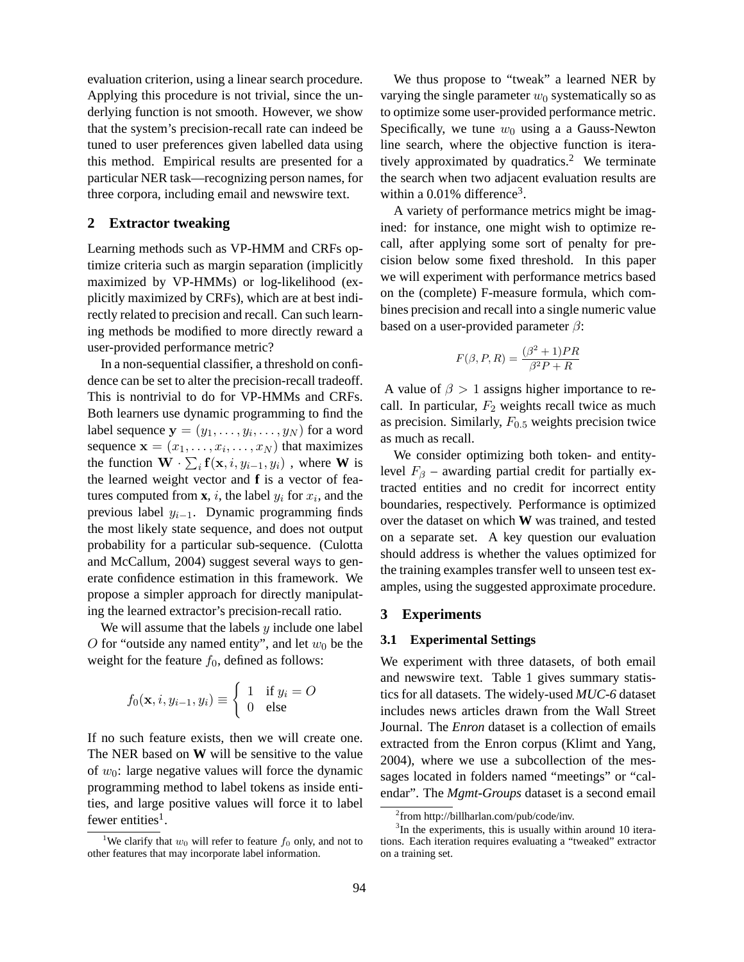evaluation criterion, using a linear search procedure. Applying this procedure is not trivial, since the underlying function is not smooth. However, we show that the system's precision-recall rate can indeed be tuned to user preferences given labelled data using this method. Empirical results are presented for a particular NER task—recognizing person names, for three corpora, including email and newswire text.

## **2 Extractor tweaking**

Learning methods such as VP-HMM and CRFs optimize criteria such as margin separation (implicitly maximized by VP-HMMs) or log-likelihood (explicitly maximized by CRFs), which are at best indirectly related to precision and recall. Can such learning methods be modified to more directly reward a user-provided performance metric?

In a non-sequential classifier, a threshold on confidence can be set to alter the precision-recall tradeoff. This is nontrivial to do for VP-HMMs and CRFs. Both learners use dynamic programming to find the label sequence  $\mathbf{y} = (y_1, \dots, y_i, \dots, y_N)$  for a word sequence  $\mathbf{x} = (x_1, \dots, x_i, \dots, x_N)$  that maximizes the function  $\mathbf{W} \cdot \sum_i \mathbf{f}(\mathbf{x}, i, y_{i-1}, y_i)$ , where **W** is the learned weight vector and **f** is a vector of features computed from  $\mathbf{x}$ , *i*, the label  $y_i$  for  $x_i$ , and the previous label  $y_{i-1}$ . Dynamic programming finds the most likely state sequence, and does not output probability for a particular sub-sequence. (Culotta and McCallum, 2004) suggest several ways to generate confidence estimation in this framework. We propose a simpler approach for directly manipulating the learned extractor's precision-recall ratio.

We will assume that the labels  $y$  include one label O for "outside any named entity", and let  $w_0$  be the weight for the feature  $f_0$ , defined as follows:

$$
f_0(\mathbf{x}, i, y_{i-1}, y_i) \equiv \begin{cases} 1 & \text{if } y_i = O \\ 0 & \text{else} \end{cases}
$$

If no such feature exists, then we will create one. The NER based on **W** will be sensitive to the value of  $w_0$ : large negative values will force the dynamic programming method to label tokens as inside entities, and large positive values will force it to label fewer entities<sup>1</sup>.

We thus propose to "tweak" a learned NER by varying the single parameter  $w_0$  systematically so as to optimize some user-provided performance metric. Specifically, we tune  $w_0$  using a a Gauss-Newton line search, where the objective function is iteratively approximated by quadratics.<sup>2</sup> We terminate the search when two adjacent evaluation results are within a  $0.01\%$  difference<sup>3</sup>.

A variety of performance metrics might be imagined: for instance, one might wish to optimize recall, after applying some sort of penalty for precision below some fixed threshold. In this paper we will experiment with performance metrics based on the (complete) F-measure formula, which combines precision and recall into a single numeric value based on a user-provided parameter  $\beta$ :

$$
F(\beta, P, R) = \frac{(\beta^2 + 1)PR}{\beta^2 P + R}
$$

A value of  $\beta > 1$  assigns higher importance to recall. In particular,  $F_2$  weights recall twice as much as precision. Similarly,  $F_{0.5}$  weights precision twice as much as recall.

We consider optimizing both token- and entitylevel  $F_\beta$  – awarding partial credit for partially extracted entities and no credit for incorrect entity boundaries, respectively. Performance is optimized over the dataset on which **W** was trained, and tested on a separate set. A key question our evaluation should address is whether the values optimized for the training examples transfer well to unseen test examples, using the suggested approximate procedure.

#### **3 Experiments**

#### **3.1 Experimental Settings**

We experiment with three datasets, of both email and newswire text. Table 1 gives summary statistics for all datasets. The widely-used *MUC-6* dataset includes news articles drawn from the Wall Street Journal. The *Enron* dataset is a collection of emails extracted from the Enron corpus (Klimt and Yang, 2004), where we use a subcollection of the messages located in folders named "meetings" or "calendar". The *Mgmt-Groups* dataset is a second email

<sup>&</sup>lt;sup>1</sup>We clarify that  $w_0$  will refer to feature  $f_0$  only, and not to other features that may incorporate label information.

<sup>2</sup> from http://billharlan.com/pub/code/inv.

<sup>&</sup>lt;sup>3</sup>In the experiments, this is usually within around 10 iterations. Each iteration requires evaluating a "tweaked" extractor on a training set.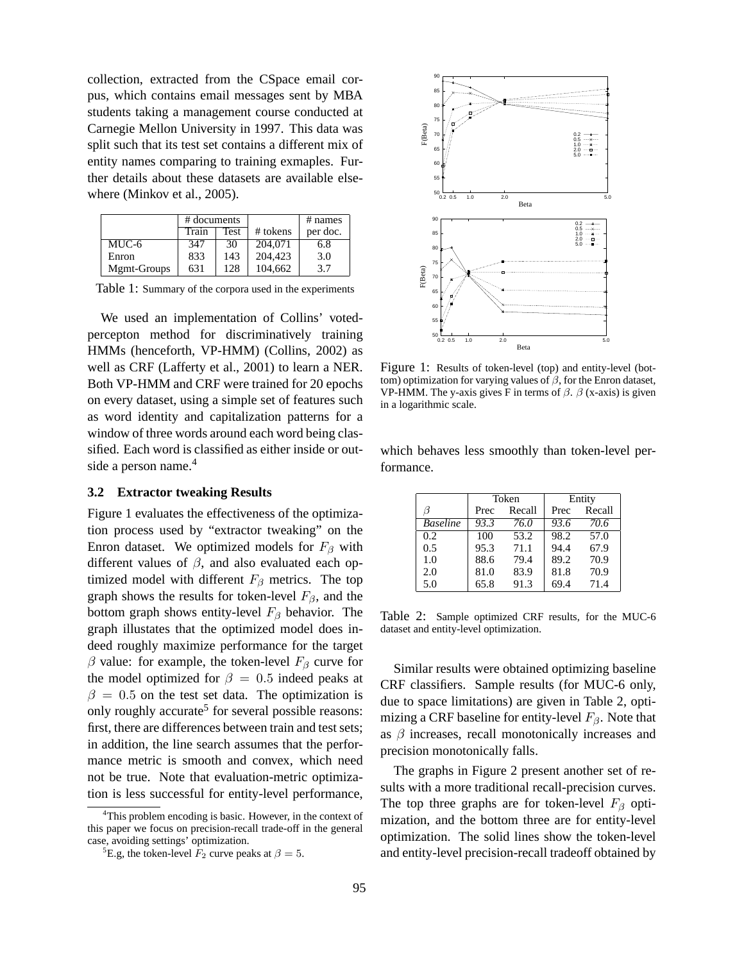collection, extracted from the CSpace email corpus, which contains email messages sent by MBA students taking a management course conducted at Carnegie Mellon University in 1997. This data was split such that its test set contains a different mix of entity names comparing to training exmaples. Further details about these datasets are available elsewhere (Minkov et al., 2005).

|             | # documents |      |            | $#$ names |
|-------------|-------------|------|------------|-----------|
|             | Train       | Test | $#$ tokens | per doc.  |
| MUC-6       | 347         | 30   | 204.071    | 6.8       |
| Enron       | 833         | 143  | 204.423    | 3.0       |
| Mgmt-Groups | 631         | 128  | 104.662    | 3.7       |

Table 1: Summary of the corpora used in the experiments

We used an implementation of Collins' votedpercepton method for discriminatively training HMMs (henceforth, VP-HMM) (Collins, 2002) as well as CRF (Lafferty et al., 2001) to learn a NER. Both VP-HMM and CRF were trained for 20 epochs on every dataset, using a simple set of features such as word identity and capitalization patterns for a window of three words around each word being classified. Each word is classified as either inside or outside a person name.<sup>4</sup>

#### **3.2 Extractor tweaking Results**

Figure 1 evaluates the effectiveness of the optimization process used by "extractor tweaking" on the Enron dataset. We optimized models for  $F_\beta$  with different values of  $\beta$ , and also evaluated each optimized model with different  $F_\beta$  metrics. The top graph shows the results for token-level  $F_\beta$ , and the bottom graph shows entity-level  $F_\beta$  behavior. The graph illustates that the optimized model does indeed roughly maximize performance for the target β value: for example, the token-level  $F<sub>β</sub>$  curve for the model optimized for  $\beta = 0.5$  indeed peaks at  $\beta = 0.5$  on the test set data. The optimization is only roughly accurate<sup>5</sup> for several possible reasons: first, there are differences between train and test sets; in addition, the line search assumes that the performance metric is smooth and convex, which need not be true. Note that evaluation-metric optimization is less successful for entity-level performance,



Figure 1: Results of token-level (top) and entity-level (bottom) optimization for varying values of  $\beta$ , for the Enron dataset, VP-HMM. The y-axis gives F in terms of  $\beta$ .  $\beta$  (x-axis) is given in a logarithmic scale.

which behaves less smoothly than token-level performance.

|                 | Token |        | Entity |        |
|-----------------|-------|--------|--------|--------|
| ß               | Prec  | Recall | Prec   | Recall |
| <b>Baseline</b> | 93.3  | 76.0   | 93.6   | 70.6   |
| 0.2             | 100   | 53.2   | 98.2   | 57.0   |
| 0.5             | 95.3  | 71.1   | 94.4   | 67.9   |
| 1.0             | 88.6  | 79.4   | 89.2   | 70.9   |
| 2.0             | 81.0  | 83.9   | 81.8   | 70.9   |
| 5.0             | 65.8  | 91.3   | 69.4   | 71.4   |

Table 2: Sample optimized CRF results, for the MUC-6 dataset and entity-level optimization.

Similar results were obtained optimizing baseline CRF classifiers. Sample results (for MUC-6 only, due to space limitations) are given in Table 2, optimizing a CRF baseline for entity-level  $F_\beta$ . Note that as  $\beta$  increases, recall monotonically increases and precision monotonically falls.

The graphs in Figure 2 present another set of results with a more traditional recall-precision curves. The top three graphs are for token-level  $F_\beta$  optimization, and the bottom three are for entity-level optimization. The solid lines show the token-level and entity-level precision-recall tradeoff obtained by

<sup>&</sup>lt;sup>4</sup>This problem encoding is basic. However, in the context of this paper we focus on precision-recall trade-off in the general case, avoiding settings' optimization.

<sup>&</sup>lt;sup>5</sup>E.g, the token-level  $F_2$  curve peaks at  $\beta = 5$ .